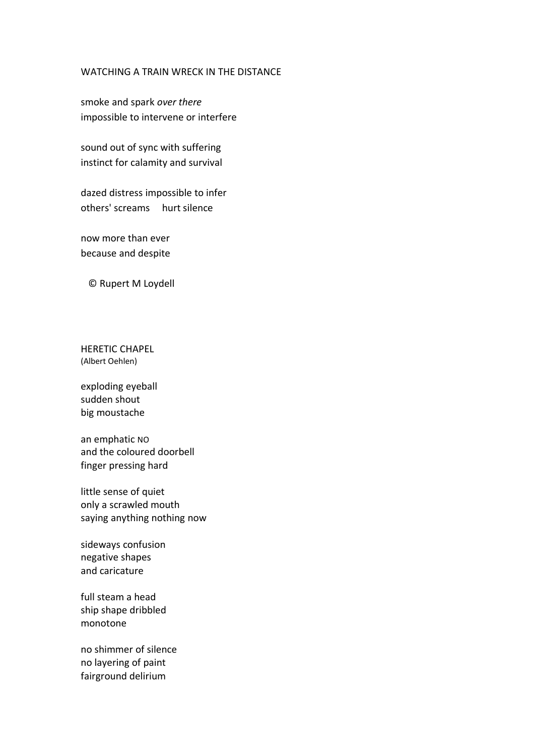## WATCHING A TRAIN WRECK IN THE DISTANCE

smoke and spark *over there* impossible to intervene or interfere

sound out of sync with suffering instinct for calamity and survival

dazed distress impossible to infer others' screams hurt silence

now more than ever because and despite

© Rupert M Loydell

HERETIC CHAPEL (Albert Oehlen)

exploding eyeball sudden shout big moustache

an emphatic NO and the coloured doorbell finger pressing hard

little sense of quiet only a scrawled mouth saying anything nothing now

sideways confusion negative shapes and caricature

full steam a head ship shape dribbled monotone

no shimmer of silence no layering of paint fairground delirium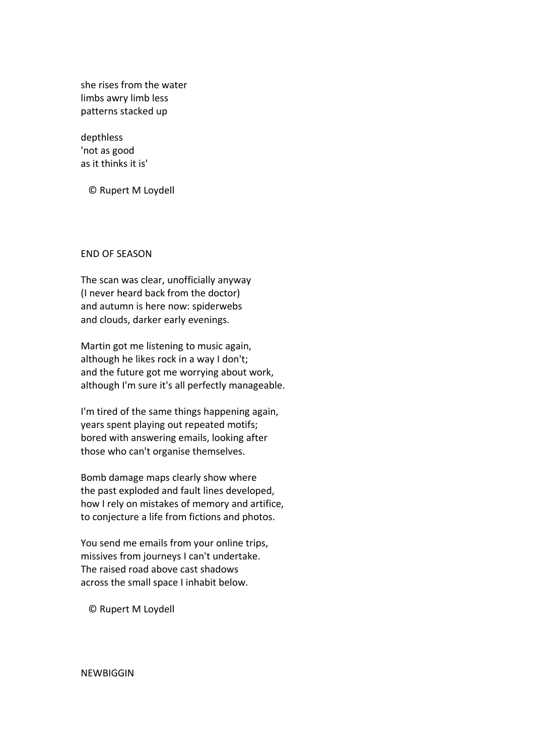she rises from the water limbs awry limb less patterns stacked up

depthless 'not as good as it thinks it is'

© Rupert M Loydell

## END OF SEASON

The scan was clear, unofficially anyway (I never heard back from the doctor) and autumn is here now: spiderwebs and clouds, darker early evenings.

Martin got me listening to music again, although he likes rock in a way I don't; and the future got me worrying about work, although I'm sure it's all perfectly manageable.

I'm tired of the same things happening again, years spent playing out repeated motifs; bored with answering emails, looking after those who can't organise themselves.

Bomb damage maps clearly show where the past exploded and fault lines developed, how I rely on mistakes of memory and artifice, to conjecture a life from fictions and photos.

You send me emails from your online trips, missives from journeys I can't undertake. The raised road above cast shadows across the small space I inhabit below.

© Rupert M Loydell

NEWBIGGIN